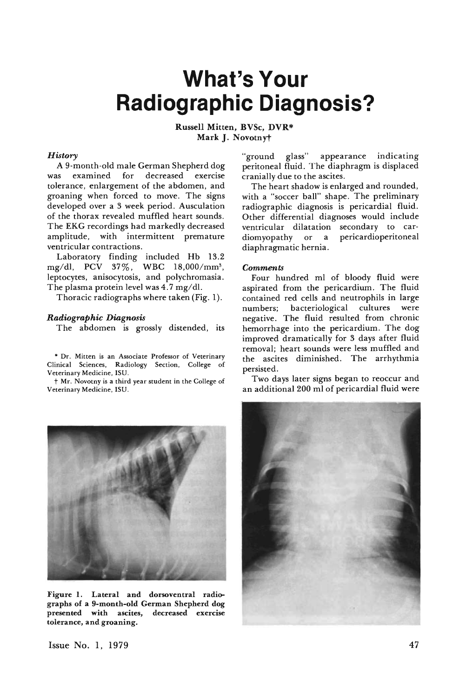## **What's Your Radiographic Diagnosis?**

Russell Mitten, BVSc, DVR\* Mark J. Novotnyt

## *History*

A 9-month-old male German Shepherd dog decreased exercise tolerance, enlargement of the abdomen, and groaning when forced to move. The signs developed over a 3 week period. Ausculation of the thorax revealed muffled heart sounds. The EKG recordings had markedly decreased amplitude, with intermittent premature ventricular contractions.

Laboratory finding included Hb 13.2 mg/dl, PCV 37%, WBC 18,000/mm<sup>3</sup>, leptocytes. anisocytosis, and polychromasia. The plasma protein level was 4.7 mg/dl.

Thoracic radiographs where taken (Fig. 1).

## *Radiographic Diagnosis*

The abdomen is grossly distended, its

• Dr. Mitten is an Associate Professor of Veterinary Clinical Sciences, Radiology Section, College of Veterinary Medicine. ISU.

t Mr. Novotny is a third year student in the College of Veterinary Medicine, ISU.



Figure I. Lateral and dorsoventral radiographs of a 9-month-old German Shepherd dog presented with ascites, decreased exercise tolerance, and groaning.

"ground glass" appearance indicating peritoneal fluid. The diaphragm is displaced cranially due to the ascites.

The heart shadow is enlarged and rounded. with a "soccer ball" shape. The preliminary radiographic diagnosis is pericardial fluid. Other differential diagnoses would include ventricular dilatation secondary to cardiomyopathy or a pericardioperitoneal diaphragmatic hernia.

## *Comments*

Four hundred ml of bloody fluid were aspirated from the pericardium. The fluid contained red cells and neutrophils in large numbers; bacteriological cultures were negative. The fluid resulted from chronic hemorrhage into the pericardium. The dog improved dramatically for 3 days after fluid removal; heart sounds were less muffled and the ascites diminished. The arrhythmia persisted.

Two days later signs began to reoccur and an additional 200 ml of pericardial fluid were



Issue No.1, 1979 47